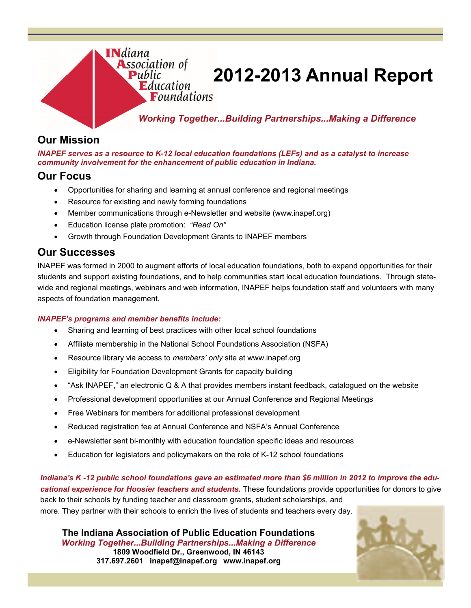

# **2012-2013 Annual Report**

*Working Together...Building Partnerships...Making a Difference* 

## **Our Mission**

*INAPEF serves as a resource to K-12 local education foundations (LEFs) and as a catalyst to increase community involvement for the enhancement of public education in Indiana.*

## **Our Focus**

- Opportunities for sharing and learning at annual conference and regional meetings
- Resource for existing and newly forming foundations
- Member communications through e-Newsletter and website (www.inapef.org)
- Education license plate promotion: *"Read On"*
- Growth through Foundation Development Grants to INAPEF members

### **Our Successes**

INAPEF was formed in 2000 to augment efforts of local education foundations, both to expand opportunities for their students and support existing foundations, and to help communities start local education foundations. Through statewide and regional meetings, webinars and web information, INAPEF helps foundation staff and volunteers with many aspects of foundation management.

#### *INAPEF's programs and member benefits include:*

- Sharing and learning of best practices with other local school foundations
- Affiliate membership in the National School Foundations Association (NSFA)
- Resource library via access to *members' only* site at www.inapef.org
- Eligibility for Foundation Development Grants for capacity building
- "Ask INAPEF," an electronic Q & A that provides members instant feedback, catalogued on the website
- Professional development opportunities at our Annual Conference and Regional Meetings
- Free Webinars for members for additional professional development
- Reduced registration fee at Annual Conference and NSFA's Annual Conference
- e-Newsletter sent bi-monthly with education foundation specific ideas and resources
- Education for legislators and policymakers on the role of K-12 school foundations

*Indiana's K -12 public school foundations gave an estimated more than \$6 million in 2012 to improve the edu-*

*cational experience for Hoosier teachers and students.* These foundations provide opportunities for donors to give back to their schools by funding teacher and classroom grants, student scholarships, and

more. They partner with their schools to enrich the lives of students and teachers every day.

**The Indiana Association of Public Education Foundations**  *Working Together...Building Partnerships...Making a Difference*  **1809 Woodfield Dr., Greenwood, IN 46143 317.697.2601 inapef@inapef.org www.inapef.org** 

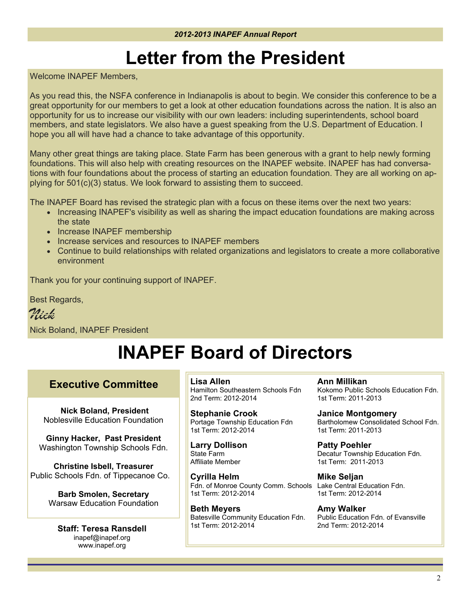# **Letter from the President**

Welcome INAPEF Members,

As you read this, the NSFA conference in Indianapolis is about to begin. We consider this conference to be a great opportunity for our members to get a look at other education foundations across the nation. It is also an opportunity for us to increase our visibility with our own leaders: including superintendents, school board members, and state legislators. We also have a guest speaking from the U.S. Department of Education. I hope you all will have had a chance to take advantage of this opportunity.

Many other great things are taking place. State Farm has been generous with a grant to help newly forming foundations. This will also help with creating resources on the INAPEF website. INAPEF has had conversations with four foundations about the process of starting an education foundation. They are all working on applying for 501(c)(3) status. We look forward to assisting them to succeed.

The INAPEF Board has revised the strategic plan with a focus on these items over the next two years:

- Increasing INAPEF's visibility as well as sharing the impact education foundations are making across the state
- Increase INAPEF membership
- Increase services and resources to INAPEF members
- Continue to build relationships with related organizations and legislators to create a more collaborative environment

Thank you for your continuing support of INAPEF.

Best Regards,

*Nick* Nick Boland, INAPEF President

# **INAPEF Board of Directors**

### **Executive Committee**

 **Nick Boland, President** Noblesville Education Foundation

**Ginny Hacker, Past President**  Washington Township Schools Fdn.

**Christine Isbell, Treasurer**  Public Schools Fdn. of Tippecanoe Co.

> **Barb Smolen, Secretary**  Warsaw Education Foundation

**Staff: Teresa Ransdell**  inapef@inapef.org www.inapef.org

**Lisa Allen** 

Hamilton Southeastern Schools Fdn 2nd Term: 2012-2014

**Stephanie Crook**  Portage Township Education Fdn 1st Term: 2012-2014

**Larry Dollison**  State Farm Affiliate Member

**Cyrilla Helm**  Fdn. of Monroe County Comm. Schools Lake Central Education Fdn. 1st Term: 2012-2014

**Beth Meyers**  Batesville Community Education Fdn. 1st Term: 2012-2014

**Ann Millikan**  Kokomo Public Schools Education Fdn. 1st Term: 2011-2013

**Janice Montgomery**  Bartholomew Consolidated School Fdn. 1st Term: 2011-2013

**Patty Poehler**  Decatur Township Education Fdn. 1st Term: 2011-2013

**Mike Seljan**  1st Term: 2012-2014

**Amy Walker**  Public Education Fdn. of Evansville 2nd Term: 2012-2014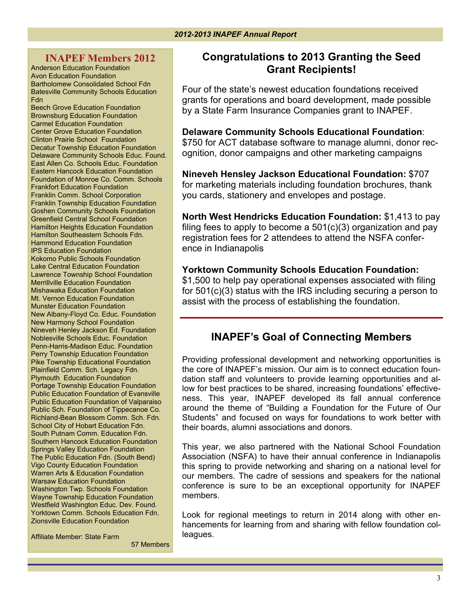### **INAPEF Members 2012**

Anderson Education Foundation Avon Education Foundation Bartholomew Consolidated School Fdn Batesville Community Schools Education Fdn

Beech Grove Education Foundation Brownsburg Education Foundation Carmel Education Foundation Center Grove Education Foundation Clinton Prairie School Foundation Decatur Township Education Foundation Delaware Community Schools Educ. Found. East Allen Co. Schools Educ. Foundation Eastern Hancock Education Foundation Foundation of Monroe Co. Comm. Schools Frankfort Education Foundation Franklin Comm. School Corporation Franklin Township Education Foundation Goshen Community Schools Foundation Greenfield Central School Foundation Hamilton Heights Education Foundation Hamilton Southeastern Schools Fdn. Hammond Education Foundation IPS Education Foundation Kokomo Public Schools Foundation Lake Central Education Foundation Lawrence Township School Foundation Merrillville Education Foundation Mishawaka Education Foundation Mt. Vernon Education Foundation Munster Education Foundation New Albany-Floyd Co. Educ. Foundation New Harmony School Foundation Nineveh Henley Jackson Ed. Foundation Noblesville Schools Educ. Foundation Penn-Harris-Madison Educ. Foundation Perry Township Education Foundation Pike Township Educational Foundation Plainfield Comm. Sch. Legacy Fdn. Plymouth Education Foundation Portage Township Education Foundation Public Education Foundation of Evansville Public Education Foundation of Valparaiso Public Sch. Foundation of Tippecanoe Co. Richland-Bean Blossom Comm. Sch. Fdn. School City of Hobart Education Fdn. South Putnam Comm. Education Fdn. Southern Hancock Education Foundation Springs Valley Education Foundation The Public Education Fdn. (South Bend) Vigo County Education Foundation Warren Arts & Education Foundation Warsaw Education Foundation Washington Twp. Schools Foundation Wayne Township Education Foundation Westfield Washington Educ. Dev. Found. Yorktown Comm. Schools Education Fdn. Zionsville Education Foundation

Affiliate Member: State Farm

57 Members

## **Congratulations to 2013 Granting the Seed Grant Recipients!**

Four of the state's newest education foundations received grants for operations and board development, made possible by a State Farm Insurance Companies grant to INAPEF.

#### **Delaware Community Schools Educational Foundation**:

\$750 for ACT database software to manage alumni, donor recognition, donor campaigns and other marketing campaigns

**Nineveh Hensley Jackson Educational Foundation:** \$707 for marketing materials including foundation brochures, thank you cards, stationery and envelopes and postage.

**North West Hendricks Education Foundation:** \$1,413 to pay filing fees to apply to become a  $501(c)(3)$  organization and pay registration fees for 2 attendees to attend the NSFA conference in Indianapolis

#### **Yorktown Community Schools Education Foundation:**

\$1,500 to help pay operational expenses associated with filing for 501(c)(3) status with the IRS including securing a person to assist with the process of establishing the foundation.

## **INAPEF's Goal of Connecting Members**

Providing professional development and networking opportunities is the core of INAPEF's mission. Our aim is to connect education foundation staff and volunteers to provide learning opportunities and allow for best practices to be shared, increasing foundations' effectiveness. This year, INAPEF developed its fall annual conference around the theme of "Building a Foundation for the Future of Our Students" and focused on ways for foundations to work better with their boards, alumni associations and donors.

This year, we also partnered with the National School Foundation Association (NSFA) to have their annual conference in Indianapolis this spring to provide networking and sharing on a national level for our members. The cadre of sessions and speakers for the national conference is sure to be an exceptional opportunity for INAPEF members.

Look for regional meetings to return in 2014 along with other enhancements for learning from and sharing with fellow foundation colleagues.